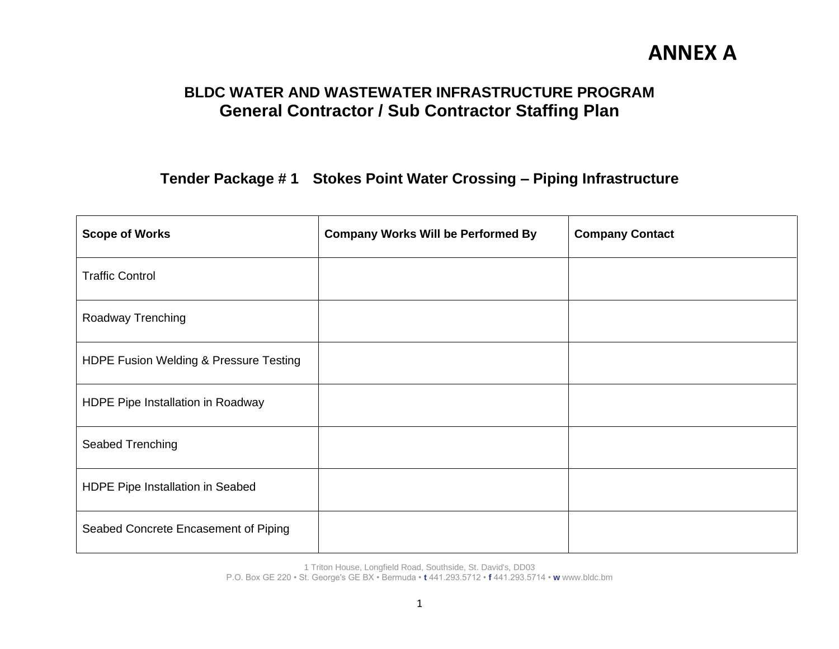### **BLDC WATER AND WASTEWATER INFRASTRUCTURE PROGRAM General Contractor / Sub Contractor Staffing Plan**

**Tender Package # 1 Stokes Point Water Crossing – Piping Infrastructure**

| <b>Scope of Works</b>                  | <b>Company Works Will be Performed By</b> | <b>Company Contact</b> |
|----------------------------------------|-------------------------------------------|------------------------|
| <b>Traffic Control</b>                 |                                           |                        |
| Roadway Trenching                      |                                           |                        |
| HDPE Fusion Welding & Pressure Testing |                                           |                        |
| HDPE Pipe Installation in Roadway      |                                           |                        |
| Seabed Trenching                       |                                           |                        |
| HDPE Pipe Installation in Seabed       |                                           |                        |
| Seabed Concrete Encasement of Piping   |                                           |                        |

1 Triton House, Longfield Road, Southside, St. David's, DD03

P.O. Box GE 220 • St. George's GE BX • Bermuda • **t** 441.293.5712 • **f** 441.293.5714 • **w** www.bldc.bm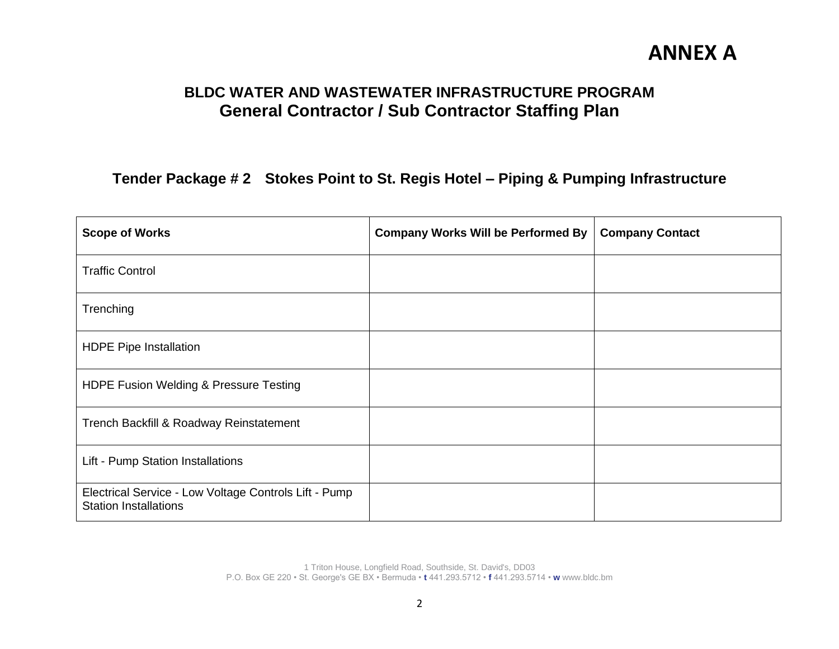### **BLDC WATER AND WASTEWATER INFRASTRUCTURE PROGRAM General Contractor / Sub Contractor Staffing Plan**

#### **Tender Package # 2 Stokes Point to St. Regis Hotel – Piping & Pumping Infrastructure**

| <b>Scope of Works</b>                                                                 | <b>Company Works Will be Performed By</b> | <b>Company Contact</b> |
|---------------------------------------------------------------------------------------|-------------------------------------------|------------------------|
| <b>Traffic Control</b>                                                                |                                           |                        |
| Trenching                                                                             |                                           |                        |
| <b>HDPE Pipe Installation</b>                                                         |                                           |                        |
| HDPE Fusion Welding & Pressure Testing                                                |                                           |                        |
| Trench Backfill & Roadway Reinstatement                                               |                                           |                        |
| Lift - Pump Station Installations                                                     |                                           |                        |
| Electrical Service - Low Voltage Controls Lift - Pump<br><b>Station Installations</b> |                                           |                        |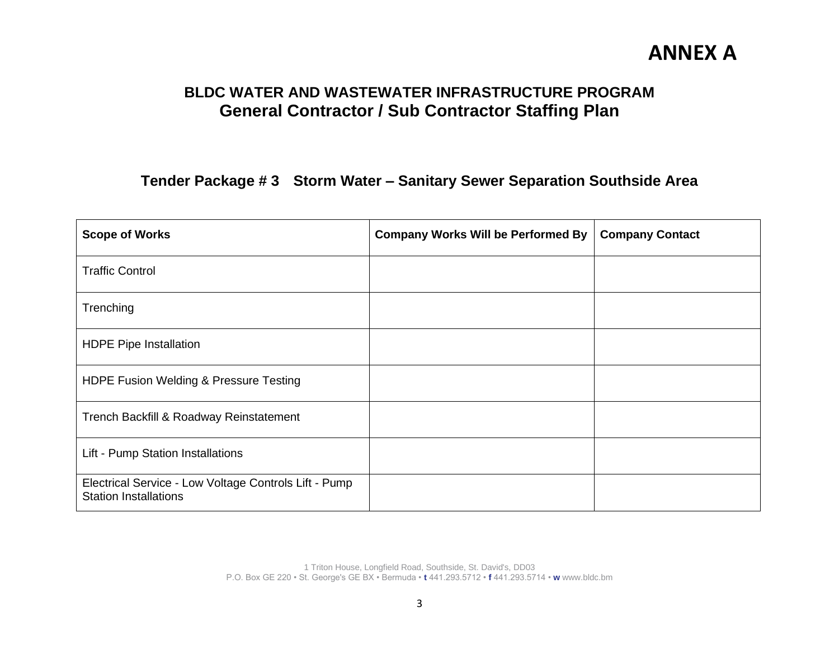### **BLDC WATER AND WASTEWATER INFRASTRUCTURE PROGRAM General Contractor / Sub Contractor Staffing Plan**

#### **Tender Package # 3 Storm Water – Sanitary Sewer Separation Southside Area**

| <b>Scope of Works</b>                                                                 | <b>Company Works Will be Performed By</b> | <b>Company Contact</b> |
|---------------------------------------------------------------------------------------|-------------------------------------------|------------------------|
| <b>Traffic Control</b>                                                                |                                           |                        |
| Trenching                                                                             |                                           |                        |
| <b>HDPE Pipe Installation</b>                                                         |                                           |                        |
| HDPE Fusion Welding & Pressure Testing                                                |                                           |                        |
| Trench Backfill & Roadway Reinstatement                                               |                                           |                        |
| Lift - Pump Station Installations                                                     |                                           |                        |
| Electrical Service - Low Voltage Controls Lift - Pump<br><b>Station Installations</b> |                                           |                        |

1 Triton House, Longfield Road, Southside, St. David's, DD03 P.O. Box GE 220 • St. George's GE BX • Bermuda • **t** 441.293.5712 • **f** 441.293.5714 • **w** www.bldc.bm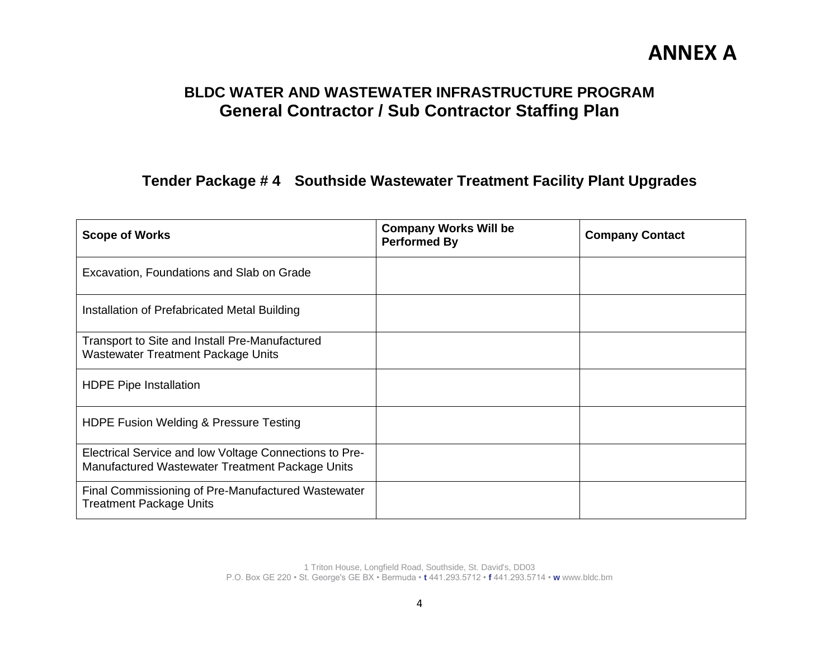### **BLDC WATER AND WASTEWATER INFRASTRUCTURE PROGRAM General Contractor / Sub Contractor Staffing Plan**

#### **Tender Package # 4 Southside Wastewater Treatment Facility Plant Upgrades**

| <b>Scope of Works</b>                                                                                     | <b>Company Works Will be</b><br><b>Performed By</b> | <b>Company Contact</b> |
|-----------------------------------------------------------------------------------------------------------|-----------------------------------------------------|------------------------|
| Excavation, Foundations and Slab on Grade                                                                 |                                                     |                        |
| Installation of Prefabricated Metal Building                                                              |                                                     |                        |
| Transport to Site and Install Pre-Manufactured<br><b>Wastewater Treatment Package Units</b>               |                                                     |                        |
| <b>HDPE Pipe Installation</b>                                                                             |                                                     |                        |
| HDPE Fusion Welding & Pressure Testing                                                                    |                                                     |                        |
| Electrical Service and low Voltage Connections to Pre-<br>Manufactured Wastewater Treatment Package Units |                                                     |                        |
| Final Commissioning of Pre-Manufactured Wastewater<br><b>Treatment Package Units</b>                      |                                                     |                        |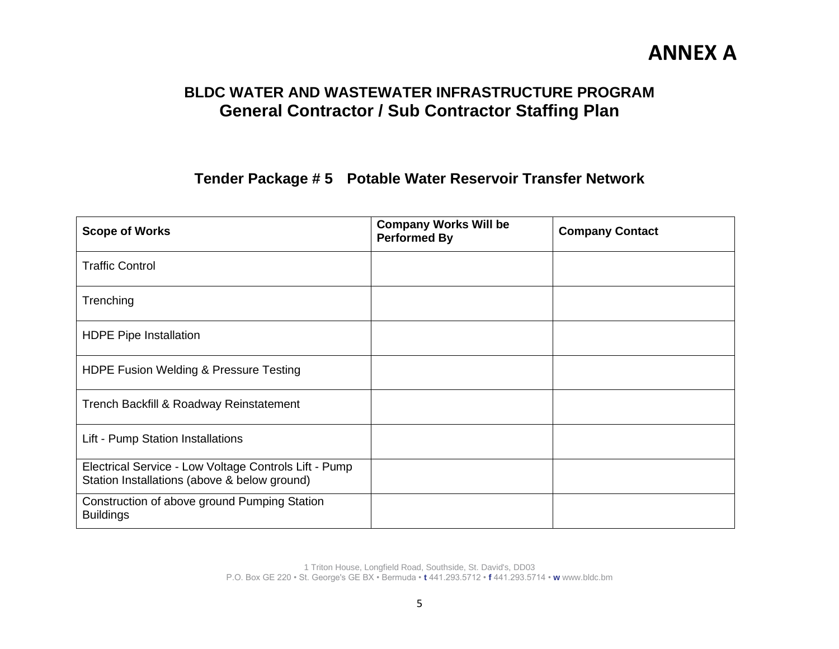### **BLDC WATER AND WASTEWATER INFRASTRUCTURE PROGRAM General Contractor / Sub Contractor Staffing Plan**

**Tender Package # 5 Potable Water Reservoir Transfer Network** 

| <b>Scope of Works</b>                                                                                 | <b>Company Works Will be</b><br><b>Performed By</b> | <b>Company Contact</b> |
|-------------------------------------------------------------------------------------------------------|-----------------------------------------------------|------------------------|
| <b>Traffic Control</b>                                                                                |                                                     |                        |
| Trenching                                                                                             |                                                     |                        |
| <b>HDPE Pipe Installation</b>                                                                         |                                                     |                        |
| HDPE Fusion Welding & Pressure Testing                                                                |                                                     |                        |
| Trench Backfill & Roadway Reinstatement                                                               |                                                     |                        |
| Lift - Pump Station Installations                                                                     |                                                     |                        |
| Electrical Service - Low Voltage Controls Lift - Pump<br>Station Installations (above & below ground) |                                                     |                        |
| Construction of above ground Pumping Station<br><b>Buildings</b>                                      |                                                     |                        |

1 Triton House, Longfield Road, Southside, St. David's, DD03 P.O. Box GE 220 • St. George's GE BX • Bermuda • **t** 441.293.5712 • **f** 441.293.5714 • **w** www.bldc.bm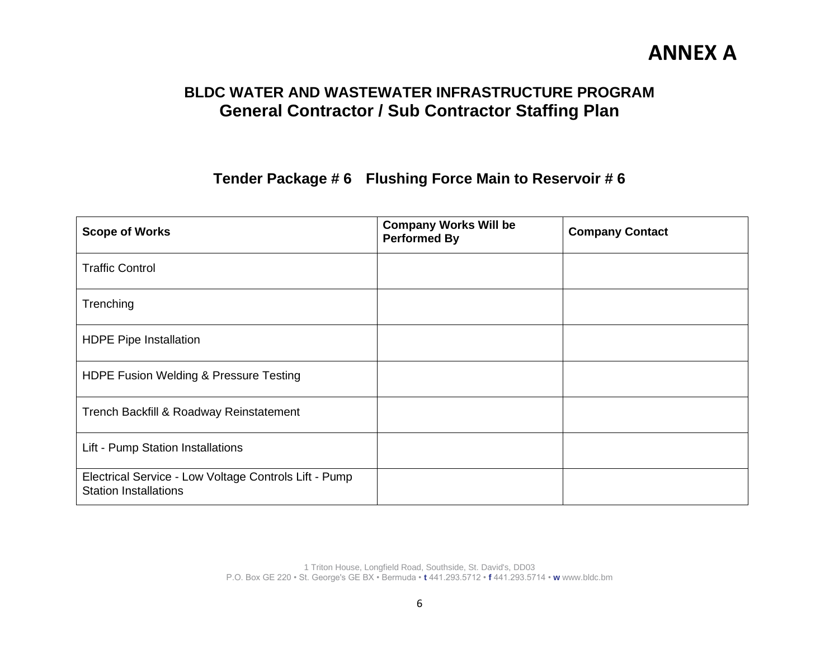### **BLDC WATER AND WASTEWATER INFRASTRUCTURE PROGRAM General Contractor / Sub Contractor Staffing Plan**

**Tender Package # 6 Flushing Force Main to Reservoir # 6**

| <b>Scope of Works</b>                                                                 | <b>Company Works Will be</b><br><b>Performed By</b> | <b>Company Contact</b> |
|---------------------------------------------------------------------------------------|-----------------------------------------------------|------------------------|
| <b>Traffic Control</b>                                                                |                                                     |                        |
| Trenching                                                                             |                                                     |                        |
| <b>HDPE Pipe Installation</b>                                                         |                                                     |                        |
| HDPE Fusion Welding & Pressure Testing                                                |                                                     |                        |
| Trench Backfill & Roadway Reinstatement                                               |                                                     |                        |
| Lift - Pump Station Installations                                                     |                                                     |                        |
| Electrical Service - Low Voltage Controls Lift - Pump<br><b>Station Installations</b> |                                                     |                        |

1 Triton House, Longfield Road, Southside, St. David's, DD03 P.O. Box GE 220 • St. George's GE BX • Bermuda • **t** 441.293.5712 • **f** 441.293.5714 • **w** www.bldc.bm